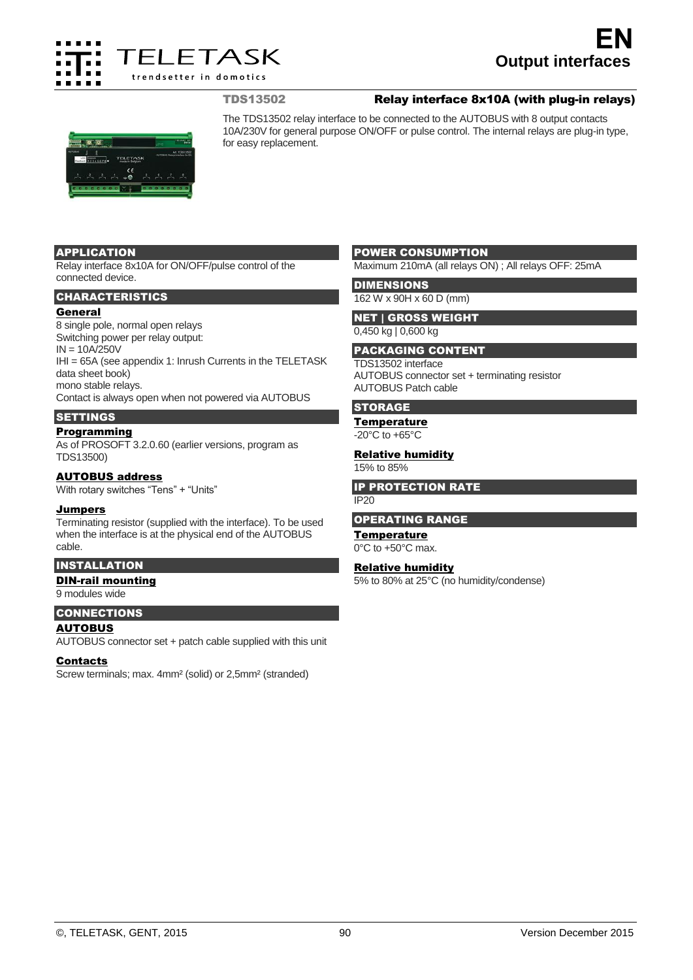

# TDS13502 Relay interface 8x10A (with plug-in relays)



The TDS13502 relay interface to be connected to the AUTOBUS with 8 output contacts 10A/230V for general purpose ON/OFF or pulse control. The internal relays are plug-in type, for easy replacement.

#### APPLICATION

Relay interface 8x10A for ON/OFF/pulse control of the connected device.

#### CHARACTERISTICS

#### General

8 single pole, normal open relays Switching power per relay output: IN = 10A/250V IHI = 65A (see appendix 1: Inrush Currents in the TELETASK data sheet book) mono stable relays. Contact is always open when not powered via AUTOBUS **SETTINGS** 

## **Programming**

As of PROSOFT 3.2.0.60 (earlier versions, program as TDS13500)

### AUTOBUS address

With rotary switches "Tens" + "Units"

#### **Jumpers**

Terminating resistor (supplied with the interface). To be used when the interface is at the physical end of the AUTOBUS cable.

## INSTALLATION

DIN-rail mounting

9 modules wide

### CONNECTIONS **AUTOBUS**

AUTOBUS connector set + patch cable supplied with this unit

#### **Contacts**

Screw terminals; max. 4mm² (solid) or 2,5mm² (stranded)

#### POWER CONSUMPTION

Maximum 210mA (all relays ON) ; All relays OFF: 25mA

**DIMENSIONS** 

# 162 W x 90H x 60 D (mm) NET | GROSS WEIGHT

0,450 kg | 0,600 kg

#### PACKAGING CONTENT

TDS13502 interface AUTOBUS connector set + terminating resistor AUTOBUS Patch cable

# **STORAGE**

**Temperature** 

 $-20^{\circ}$ C to  $+65^{\circ}$ C

# **Relative humidity**

15% to 85%

#### IP PROTECTION RATE

IP20

#### OPERATING RANGE

### **Temperature**

0°C to +50°C max.

## Relative humidity

5% to 80% at 25°C (no humidity/condense)